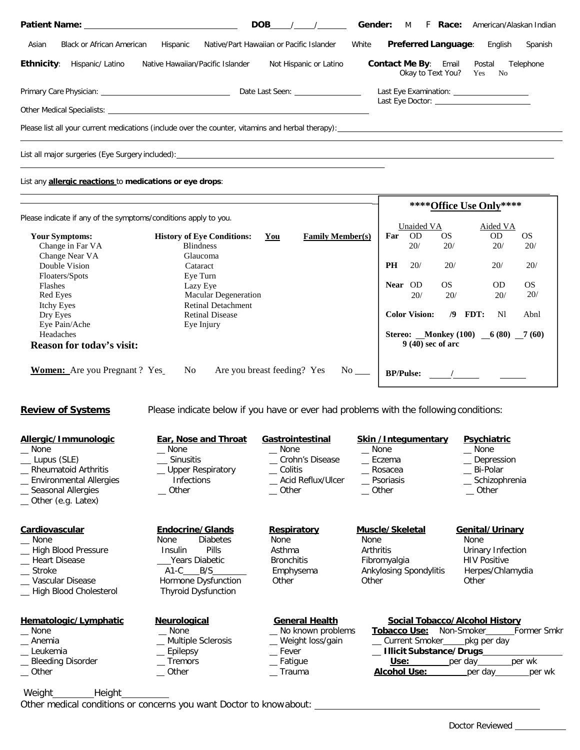|                                                                                                                                                                                                                                | <b>DOB</b>                               | <b>Gender:</b><br>F Race:<br>M<br>American/Alaskan Indian                                   |  |  |  |
|--------------------------------------------------------------------------------------------------------------------------------------------------------------------------------------------------------------------------------|------------------------------------------|---------------------------------------------------------------------------------------------|--|--|--|
| <b>Black or African American</b><br>Asian<br>Hispanic                                                                                                                                                                          | Native/Part Hawaiian or Pacific Islander | <b>Preferred Language:</b><br>White<br>English<br>Spanish                                   |  |  |  |
| <b>Ethnicity:</b><br>Hispanic/ Latino<br>Native Hawaiian/Pacific Islander                                                                                                                                                      | Not Hispanic or Latino                   | <b>Contact Me By: Email</b><br>Postal<br>Telephone<br>Okay to Text You? Yes No              |  |  |  |
| Date Last Seen: 2008                                                                                                                                                                                                           |                                          | Last Eye Examination: _______________________<br>Last Eye Doctor: _________________________ |  |  |  |
| Other Medical Specialists: Note that the state of the state of the state of the state of the state of the state of the state of the state of the state of the state of the state of the state of the state of the state of the |                                          |                                                                                             |  |  |  |
| Please list all your current medications (include over the counter, vitamins and herbal therapy):                                                                                                                              |                                          |                                                                                             |  |  |  |
| List all major surgeries (Eye Surgery included):                                                                                                                                                                               |                                          |                                                                                             |  |  |  |

## List any **allergic reactions** to **medications or eye drops**:

|                                                                 |                                               |     |                                                                                                                 | **** Office Use Only**** |                                      |     |      |           |               |
|-----------------------------------------------------------------|-----------------------------------------------|-----|-----------------------------------------------------------------------------------------------------------------|--------------------------|--------------------------------------|-----|------|-----------|---------------|
| Please indicate if any of the symptoms/conditions apply to you. |                                               |     |                                                                                                                 |                          | Unaided VA                           |     |      | Aided VA  |               |
| <b>Your Symptoms:</b>                                           | <b>History of Eye Conditions:</b>             | You | <b>Family Member(s)</b>                                                                                         | Far                      | <b>OD</b>                            | OS. |      | <b>OD</b> | <sub>OS</sub> |
| Change in Far VA                                                | <b>Blindness</b>                              |     |                                                                                                                 |                          | 20/                                  | 20/ |      | 20/       | 20/           |
| Change Near VA                                                  | Glaucoma                                      |     |                                                                                                                 |                          |                                      |     |      |           |               |
| Double Vision                                                   | Cataract                                      |     |                                                                                                                 | <b>PH</b>                | 20/                                  | 20/ |      | 20/       | 20/           |
| Floaters/Spots                                                  | Eye Turn                                      |     |                                                                                                                 |                          |                                      |     |      |           |               |
| <b>Flashes</b>                                                  | Lazy Eye                                      |     |                                                                                                                 | <b>Near</b>              | OD                                   | OS. |      | <b>OD</b> | <b>OS</b>     |
| Red Eyes                                                        | <b>Macular Degeneration</b>                   |     |                                                                                                                 |                          | 20/                                  | 20/ |      | 20/       | 20/           |
| Itchy Eyes                                                      | <b>Retinal Detachment</b>                     |     |                                                                                                                 |                          |                                      |     |      |           |               |
| Dry Eyes                                                        | <b>Retinal Disease</b>                        |     |                                                                                                                 |                          | <b>Color Vision:</b>                 | /9  | FDT: | N1        | Abnl          |
| Eye Pain/Ache                                                   | Eye Injury                                    |     |                                                                                                                 |                          |                                      |     |      |           |               |
| Headaches                                                       |                                               |     |                                                                                                                 |                          | Stereo: Monkey (100) $-6(80)$ 7 (60) |     |      |           |               |
| <b>Reason for today's visit:</b>                                |                                               |     |                                                                                                                 |                          | $9(40)$ sec of arc                   |     |      |           |               |
|                                                                 |                                               |     |                                                                                                                 |                          |                                      |     |      |           |               |
| <b>Women:</b> Are you Pregnant? Yes                             | N <sub>o</sub><br>Are you breast feeding? Yes |     | No the set of the set of the set of the set of the set of the set of the set of the set of the set of the set o |                          |                                      |     |      |           |               |
|                                                                 |                                               |     |                                                                                                                 | <b>BP/Pulse:</b>         |                                      |     |      |           |               |

**Review of Systems** Please indicate below if you have or ever had problems with the following conditions:

| Allergic/Immunologic<br>None<br>Lupus (SLE)<br><b>Rheumatoid Arthritis</b><br><b>Environmental Allergies</b><br>Seasonal Allergies<br>_ Other (e.g. Latex) | <b>Ear, Nose and Throat</b><br>None<br><b>Sinusitis</b><br><b>Upper Respiratory</b><br><b>Infections</b><br>Other                                                           | Gastrointestinal<br>None<br>_ Crohn's Disease<br>Colitis<br>Acid Reflux/Ulcer<br>Other       | <b>Skin /Integumentary</b><br>None<br>Eczema<br>_ Rosacea<br>_ Psoriasis<br>Other                              | <b>Psychiatric</b><br>None<br>_ Depression<br>Bi-Polar<br>_ Schizophrenia<br>Other<br>Genital/Urinary<br>None<br>Urinary Infection<br><b>HIV Positive</b><br>Herpes/Chlamydia<br>Other |  |  |
|------------------------------------------------------------------------------------------------------------------------------------------------------------|-----------------------------------------------------------------------------------------------------------------------------------------------------------------------------|----------------------------------------------------------------------------------------------|----------------------------------------------------------------------------------------------------------------|----------------------------------------------------------------------------------------------------------------------------------------------------------------------------------------|--|--|
| Cardiovascular<br>None<br>High Blood Pressure<br><b>Heart Disease</b><br><b>Stroke</b><br>Vascular Disease<br>High Blood Cholesterol                       | <b>Endocrine/Glands</b><br><b>Diabetes</b><br><b>None</b><br>Pills<br><b>Insulin</b><br>Years Diabetic<br>$A1-C$ $B/S$<br>Hormone Dysfunction<br><b>Thyroid Dysfunction</b> | <b>Respiratory</b><br>None<br>Asthma<br><b>Bronchitis</b><br>Emphysema<br>Other              | Muscle/Skeletal<br>None<br><b>Arthritis</b><br>Fibromyalgia<br>Ankylosing Spondylitis<br>Other                 |                                                                                                                                                                                        |  |  |
| Hematologic/Lymphatic<br>None<br>Anemia<br>Leukemia<br><b>Bleeding Disorder</b><br>_ Other                                                                 | <b>Neurological</b><br>None<br>Multiple Sclerosis<br>Epilepsy<br><b>Tremors</b><br>Other                                                                                    | <b>General Health</b><br>No known problems<br>Weight loss/gain<br>Fever<br>Fatigue<br>Trauma | <b>Tobacco Use:</b><br>__ Current Smoker____<br><b>Illicit Substance/Drugs_</b><br>Use:<br><b>Alcohol Use:</b> | Social Tobacco/Alcohol History<br>Non-Smoker<br><b>Former Smkr</b><br>_pkg per day<br>per day<br>per wk<br>per day<br>per wk                                                           |  |  |

Weight\_\_\_\_\_\_\_\_\_\_Height\_\_\_\_\_\_\_\_\_\_ Other medical conditions or concerns you want Doctor to knowabout: